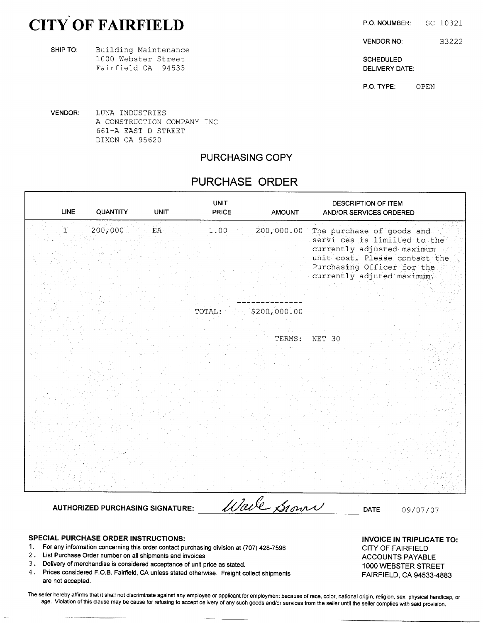# CITY OF FAIRFIELD P.O. NOUMBER: SC 10321

SHIPTO: Building Maintenance 1000 Webster Street Superintendent Schedule Schedule Schedule Schedule Schedule Schedule Schedule Schedule Schedule Fairfield CA 94533 **DELIVERY DATE:** 

VENDOR NO: B3222

P.O. TYPE: OPEN

VENDOR: LUNA INDUSTRIES A CONSTRUCTION COMPANY INC 661-A EAST <sup>D</sup> STREET DIXON CA 95620

## PURCHASING COPY

# PURCHASE ORDER

| <b>LINE</b> | QUANTITY                                                                                                                                  | <b>UNIT</b> | <b>UNIT</b><br>PRICE | <b>AMOUNT</b> | <b>DESCRIPTION OF ITEM</b><br><b>AND/OR SERVICES ORDERED</b>                                                                                                                         |                                                              |
|-------------|-------------------------------------------------------------------------------------------------------------------------------------------|-------------|----------------------|---------------|--------------------------------------------------------------------------------------------------------------------------------------------------------------------------------------|--------------------------------------------------------------|
| $1\,$       | 200,000                                                                                                                                   | EA          | 1.00                 | 200,000.00    | The purchase of goods and<br>servi ces is limiited to the<br>currently adjusted maximum<br>unit cost. Please contact the<br>Purchasing Officer for the<br>currently adjuted maximum. |                                                              |
|             |                                                                                                                                           |             | TOTAL:               | \$200,000.00  |                                                                                                                                                                                      |                                                              |
|             |                                                                                                                                           |             |                      | TERMS:        | NET 30                                                                                                                                                                               |                                                              |
|             |                                                                                                                                           |             |                      |               |                                                                                                                                                                                      |                                                              |
|             | <b>AUTHORIZED PURCHASING SIGNATURE:</b>                                                                                                   |             |                      | Wave Grown    | DATE                                                                                                                                                                                 | 09/07/07                                                     |
|             | <b>SPECIAL PURCHASE ORDER INSTRUCTIONS:</b><br>1. For any information concerning this order contact purchasing division at (707) 428-7596 |             |                      |               |                                                                                                                                                                                      | <b>INVOICE IN TRIPLICATE TO:</b><br><b>CITY OF FAIRFIELD</b> |

### SPECIAL PURCHASE ORDER INSTRUCTIONS: INVOICE IN TRIPLICATE TO:

- 1. For any information concerning this order contact purchasing division at (707) 428-7596 CITY OF FAIRFIELD
- 2. List Purchase Order number on all shipments and invoices. ACCOUNTS PAYABLE
- 3. Delivery of merchandise is considered acceptance of unit price as stated. 1000 WEBSTER STREET
- 4. Prices considered F.O.B. Fairfield, CA unless stated otherwise. Freight collect shipments FAIRFIELD, CA 94533-4883 are not accepted.

The seller hereby affirms that it shall not discriminate against any employee or applicant for employment because of race, color, national origin, religion, sex, physical handicap, or age. Violation of this clause may be cause for refusing to accept delivery of any such goods and/or services from the seller until the seller complies with said provision.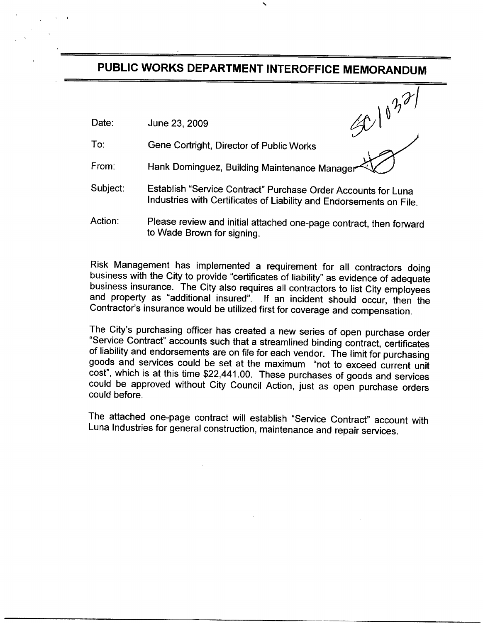# PUBLIC WORKS DEPARTMENT INTEROFFICE MEMORANDUM

Date: June 23, 2009

To: Gene Cortright, Director of Public Works

- $2010727$ From: Hank Dominguez, Building Maintenance Manage
- Subject: Establish "Service Contract" Purchase Order Accounts for Luna Industries with Certificates of Liability and Endorsements on File.
- Action: Please review and initial attached one-page contract, then forward to Wade Brown for signing.

Risk Management has implemented a requirement for all contractors doing business with the City to provide "certificates of liability" as evidence of adequate business insurance. The City also requires all contractors to list City employees and property as "additional insured". If an incident should occur, then the business with the City to provide "certificates of liability" as evidence of adeq<br>business insurance. The City also requires all contractors to list City employ<br>and property as "additional insured". If an incident should o

The City's purchasing officer has created <sup>a</sup> new series of open purchase order Service Contract" accounts such that <sup>a</sup> streamlined binding contract, certificates of liability and endorsements are on file for each vendor. The limit for purchasing<br>goods and services could be set at the maximum "not to exceed current uni<br>cost", which is at this time \$22,441.00. These purchases of good goods and services could be set at the maximum "not to exceed current unit cost", which is at this time \$22,441.00. These purchases of goods and services could be approved without City Council Action, just as open purchase orders could before.

The attached one-page contract will establish "Service Contract" account with Luna Industries for general construction, maintenance and repair services.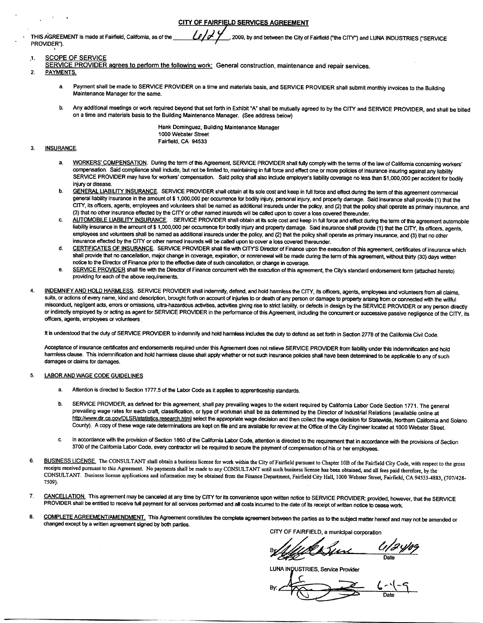CITY OF FAIRFIELD SERVICES AGREEMENT

THIS AGREEMENT is made at Fairfield, California, as of the 2009, by and between the City of Fairfield ("the CITY") and LUNA INDUSTRIES ("SERVICE PROVIDER").

#### t. SCOPE OF SERVICE

- SERVICE PROVIDER agrees to perform the following work: General construction, maintenance and repair services.
- 2. PAYMENTS.
	- a. Payment shall be made to SERVICE PROVIDER on a time and materials basis, and SERVICE PROVIDER shall submit monthly invoices to the Building Maintenance Manager for the same.
	- b. Any additional meetings or work required beyond that set forth in Exhibit "A' shall be mutually agreed to by the CITY and SERVICE PROVIDER, and shali be billed on <sup>a</sup> time and materials basis to the Building Maintenance Manager. ( See address below)

Hank Dominguez, Building Maintenance Manager 1000 Webster Street Fairfield, CA 94533

#### 3. INSURANCE.

- a. WORKERS' COMPENSATION. During the term of this Agreement, SERVICE PROVIDER shall fully comply with the terms of the law of California concerning workers' compensation. Said compliance shall indude, but not be limited to, maintaining in full force and effect one or more policies of insurance insuring against any liability SERVICE PROVIDER may have for workers' compensation. Said policy shall also include employer's liability coverage no less than \$1,000,000 per accident for bodily injury or disease.
- b. GENERAL LIABILITY INSURANCE. SERVICE PROVIDER shall obtain at its sole cost and keep in full force and effect during the term of this agreement commercial general liability insurance in the amount of \$1,000,000 per occurrence for bodily injury, personal injury, and property damage. Said insurance shall provide (1) that the CffY, its officers, agents, empbyees and volunteers shall be named as additional insureds under the policy, and (2} that the policy shall operate as primary insurance, and 3) that no other insurance effected by the CITY or other named insureds will be called upon io cover <sup>a</sup> bss covered thereunder.
- c. AUTOMOBILE LIABILITY INSURANCE. SERVICE PROVIDER shall obtain at its sole cost and keep in full force and effect during the term of this agreement automobile liability insurance in the amount of \$ 1,000,000 per occurrence for bodily injury and property damage. Said insurance shall provide (1) that the CITY, its officers, agents, employees and volunteers shall be named as additional insureds under the policy, and (2) that the policy shall operate as primary insurance, and (3) that no other insurance effected by the CITY or other named insureds will be cailed upon to cover a loss covered thereunder.
- d. CERTIFICATES OF INSURANCE. SERVICE PROVIDER shall file with CITY'S Director of Finance upon the execution of this agreement, certificates of insurance which shall provide that no cancellation, major change in coverage, expiration, or nonrenewal will be made during the term of this agreement, without thirty (30) days written notice to the Director of Finance prior to the effective date of such cancellation, or change in coverage.
- e. SERVICE PROVIDER shall file with the Director of Finance concurrent with the execution of this agreement, the City's standard endorsement form (attached hereto) providing for each of the above requirements.
- 4. INDEMNIFY AND HOLD HARMLESS. SERVICE PROVIDER shall indemnify, defend, and hold harmless the CITY, its officers, agents, employees and volunteers from all claims, suits, or actions of every name, kind and description, brought forth on account of injuries to or death of any person or damage to property arising from or connected with the willful misconduct, negligent acts, errors or omissions, ultra-hazardous activities, activities giving rise to strict liability, or defects in design by the SERVICE PROVIDER or any person directly or indirectly employed by or acting as agent for SERVICE PROVIDER in the performance of this Agreement, including the concurrent or successive passive negligence of the CITY, its officers, agents, employees or volunieers CAND HOLD HARMLESS. SERVICE PROVIDER shall indemnify, defend, and hold harmless the CITY, its officers, agents, employees and volunteers from all claims, negligent ads, errors or every name, it<br>in ordinary an and descripti

It is understood that the duty of SERVICE PROVIDER to indemnify and hold harmless includes the duty to defend as set forth in Section 2778 of the California Civil Code.

Acceptance of insurance certificates and endorsements required under this Agreement does not relieve SERVICE PROVIDER from liability under this indemnification and hold harmless clause. This indemnification and hold harmless clause shall apply whether or not such insurance policies shall have been determined to be applicable to any of such damages or Gaims for damages.

### 5. LABOR AND WAGE CODE GUIDELINES

- a. Attention is directed to Section 1777.5 of the Labor Code as it applies to apprenticeship standards.
- b. SERVICE PROVIDER, as defined for this agreement, shall pay prevailing wages to the extent required by California Labor Code Section 1771. The general prevailing wage rates for each craft, classification, o SERVICE PROVIDER, as define<br>prevailing wage rates for each<br>http://www.dir.ca.gov/DLSR/stati:<br>County). A copy of these wage r type of workman shall be as determined by the Director of Industrial Relations ( available online at http://www.dir.ca.gov/DLSR/statistics.research.html select the appropriate wage decision and then collect the wage decision for Statewide, Northern California and Solano<br>County). A copy of these wage rate determinations ar
- c. In accordance with the provision of Section <sup>1860</sup> ot fhe Califomia Labor Code, attention is directed to the requirement that in accordance with the provisions of Section <sup>3700</sup> of the California Labor Code, every contrador will be required to secure the payment of compensation of his or her employees.
- 6. BUSINESS LICENSE. The CONSULTANT shall obtain a business license for work within the City of Fairfield pursuant to Chapter 10B of the Fairfield City Code, with respect to the gross receipts received pursuant to this Agreement. No payments shall be made to any CONSIJLTANT until such business license has been obtained, and all fees paid therefore, by the CONSULTANT. Business license applications and information may be obtained from the Finance Department, Fairfield City Hall, 1000 Webster Street, Fairfield, CA 94533-4883, (707/428-7509).
- 7. CANCELLATION. This agreement may be canceled at any time by CITY for its convenience upon written notice to SERVICE PROVIDER: provided, however, that the SERVICI PROVIDER shall be entitled to receive full payment for all services performed and all costs incurred to the date of its receipt of written notice to cease work.
- 8. COMPLETE AGREEMENT/AMENDMENT. This Agreement constitutes the complete agreement between the parties as to the subject matter hereof and may not be amended or changed except by <sup>a</sup> written agreement signed by both parties.

CffY OF FAIRFIELD, <sup>a</sup> municipal corporation

In written notice to SERVICE PROVIDER: provided, however, that<br>be did to the date of its receipt of written notice to cease work.<br>between the parties as to the subject matter hereof and may not to<br>By the FAIRFIELD, a munic Date

LUNA INDUSTRIES, Service Provider

By Date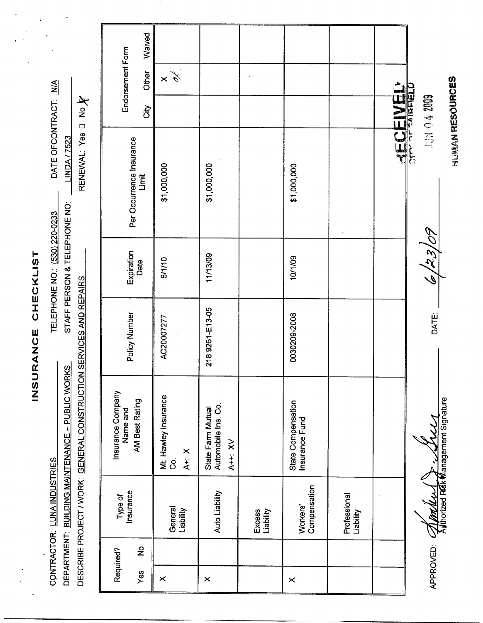|                |              | CONTRACTOR: LUNA INDUSTRIES | DEPARTMENT: BUILDING MAINTENANCE – PUBLIC WORKS                    |                 | STAFF PERSON & TELEPHONE NO:<br>TELEPHONE NO.: (530) 220-0233 | DATE OFCONTRACT: N/A<br>LINDA / 7523 |                           |  |
|----------------|--------------|-----------------------------|--------------------------------------------------------------------|-----------------|---------------------------------------------------------------|--------------------------------------|---------------------------|--|
|                |              |                             | DESCRIBE PROJECT / WORK: GENERAL CONSTRUCTION SERVICES AND REPAIRS |                 |                                                               | RENEWAL: Yes                         | <b>A</b><br>Po            |  |
|                | Required?    | Insurance<br>Type of        | Insurance Company<br>Name and                                      | Policy Number   |                                                               |                                      | Endorsement Form          |  |
| Yes            | $\mathbf{S}$ |                             | AM Best Rating                                                     |                 | Expiration<br>Date                                            | Per Occurrence Insurance<br>Limit    | Waived<br>Other<br>City   |  |
| $\pmb{\times}$ |              | General<br>Liability        | Mt. Hawley Insurance<br>$A + X$<br>ပ္လ                             | AC20007277      | 6/1/10                                                        | \$1,000,000                          | $\frac{1}{\phi}$ $\times$ |  |
| $\times$       |              | Auto Liability              | Automobile Ins. Co.<br>State Farm Mutual<br>$X + 2X$               | 218 9261-E13-05 | 11/13/09                                                      | \$1,000,000                          |                           |  |
|                |              | <b>Excess</b><br>Liability  |                                                                    |                 |                                                               |                                      |                           |  |
| $\times$       |              | Compensation<br>Workers'    | State Compensation<br>Insurance Fund                               | 0030209-2008    | 10/1/09                                                       | \$1,000,000                          |                           |  |
|                |              | Professional<br>Liability   |                                                                    |                 |                                                               |                                      |                           |  |
|                |              |                             |                                                                    |                 |                                                               | <b>AECEIVEL</b>                      |                           |  |
|                | APPROVED:    |                             | All MULLU P 22 WLL                                                 | <b>DATE:</b>    | 6/23/09                                                       |                                      | <b>SOLE</b> ON SOLE       |  |
|                |              |                             |                                                                    |                 |                                                               |                                      | UNCREATED                 |  |

INSURANCE CHECKLIST

 $\ddot{\phantom{1}}$ 

 $\frac{1}{\sqrt{2\pi}}$  $\ddot{\phantom{a}}$ 

 $\ddot{\phantom{a}}$ 

**HUMAN RESOURCES**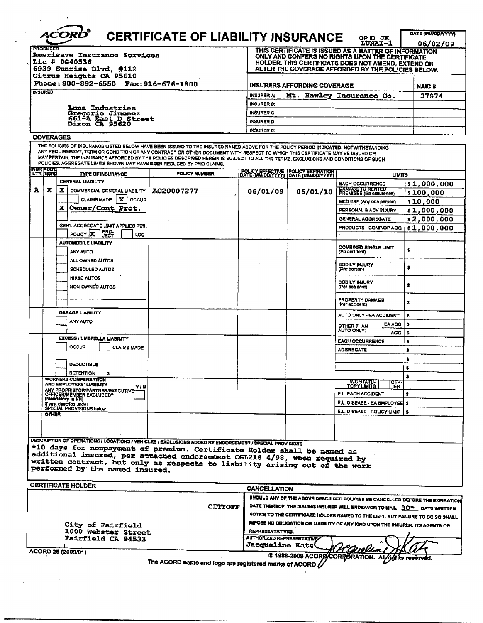| <b>PRODUCER</b>           |                                                                                                                                                                                                                                                                                                                                                                                                                                                                                      | <b>CERTIFICATE OF LIABILITY INSURANCE</b> |                         |                                                                               | OP ID JIK<br><b>LUNAT-1</b>                                                                                                                                    | DATE (MU/DD/YYYY)<br>06/02/09 |  |  |
|---------------------------|--------------------------------------------------------------------------------------------------------------------------------------------------------------------------------------------------------------------------------------------------------------------------------------------------------------------------------------------------------------------------------------------------------------------------------------------------------------------------------------|-------------------------------------------|-------------------------|-------------------------------------------------------------------------------|----------------------------------------------------------------------------------------------------------------------------------------------------------------|-------------------------------|--|--|
|                           | Amerisave Insurance Services<br>$Lie$ # 0G40536                                                                                                                                                                                                                                                                                                                                                                                                                                      |                                           |                         |                                                                               | THIS CERTIFICATE IS ISSUED AS A MATTER OF INFORMATION<br>ONLY AND CONFERS NO RIGHTS UPON THE CERTIFICATE<br>HOLDER. THIS CERTIFICATE DOES NOT AMEND, EXTEND OR |                               |  |  |
|                           | 6939 Sunrise Blvd, #112<br>Citrus Heights CA 95610                                                                                                                                                                                                                                                                                                                                                                                                                                   |                                           |                         |                                                                               | ALTER THE COVERAGE AFFORDED BY THE POLICIES BELOW.                                                                                                             |                               |  |  |
|                           | Phone: 800-892-6550  Fax: 916-676-1800                                                                                                                                                                                                                                                                                                                                                                                                                                               |                                           |                         | INSURERS AFFORDING COVERAGE                                                   |                                                                                                                                                                | <b>NAIC #</b>                 |  |  |
| <b>INSURED</b>            |                                                                                                                                                                                                                                                                                                                                                                                                                                                                                      |                                           | <b>INSURER A:</b>       |                                                                               | Mt. Hawley Insurance Co.                                                                                                                                       | 37974                         |  |  |
|                           | <b>Luna Industries</b>                                                                                                                                                                                                                                                                                                                                                                                                                                                               |                                           | INSURER B:              |                                                                               |                                                                                                                                                                |                               |  |  |
|                           | Gregorio Jimenez                                                                                                                                                                                                                                                                                                                                                                                                                                                                     |                                           | <b>INSURER C:</b>       |                                                                               |                                                                                                                                                                |                               |  |  |
|                           | 661 <sup>2</sup> A East D Street<br>Dixon CA 95620                                                                                                                                                                                                                                                                                                                                                                                                                                   |                                           | <b>INSURER D:</b>       |                                                                               |                                                                                                                                                                |                               |  |  |
|                           |                                                                                                                                                                                                                                                                                                                                                                                                                                                                                      |                                           | <b>INSURER E:</b>       |                                                                               |                                                                                                                                                                |                               |  |  |
|                           | <b>COVERAGES</b>                                                                                                                                                                                                                                                                                                                                                                                                                                                                     |                                           |                         |                                                                               |                                                                                                                                                                |                               |  |  |
|                           | THE POLICIES OF INSURANCE LISTED BELOW HAVE BEEN ISSUED TO THE INSURED NAMED ABOVE FOR THE POLICY PERIOD INDICATED, NOTWITHSTANDING<br>ANY REQUIREMENT, TERM OR CONDITION OF ANY CONTRACT OR OTHER DOCUMENT WITH RESPECT TO WHICH THIS CERTIFICATE MAY BE ISSUED OR<br>MAY PERTAIN, THE INSURANCE AFFORDED BY THE POLICIES DESCRISED HEREIN IS SUBJECT TO ALL THE TERMS, EXCLUSIONS AND CONDITIONS OF SUCH<br>POLICIES. AGGREGATE LIMITS SHOWN MAY HAVE BEEN REDUCED BY PAID CLAIMS. |                                           |                         |                                                                               |                                                                                                                                                                |                               |  |  |
| INSK ADD'T<br>LTR INSRD   | <b>TYPE OF INSURANCE</b>                                                                                                                                                                                                                                                                                                                                                                                                                                                             | <b>POLICY NUMBER</b>                      |                         | POLICY EFFECTIVE POLICY EXPIRATION<br>DATE (MM/DD/YYYY) JDATE (MM/DD/YYYY)    | <b>LIMITS</b>                                                                                                                                                  |                               |  |  |
|                           | <b>GENERAL LIABILITY</b>                                                                                                                                                                                                                                                                                                                                                                                                                                                             |                                           |                         |                                                                               | <b>EACH OCCURRENCE</b>                                                                                                                                         | \$1,000,000                   |  |  |
| x                         | z<br><b>COMMERCIAL GENERAL LIABILITY</b>                                                                                                                                                                                                                                                                                                                                                                                                                                             | AC20007277                                | 06/01/09                | 06/01/10                                                                      | DAMAGE TO RENTED<br>PREMISES (Ea occurence)                                                                                                                    | \$100,000                     |  |  |
|                           | CLAIMS MADE   X   OCCUR                                                                                                                                                                                                                                                                                                                                                                                                                                                              |                                           |                         |                                                                               | MED EXP (Any one person)                                                                                                                                       | 10,000                        |  |  |
|                           | Owner/Cont Prot.<br>x                                                                                                                                                                                                                                                                                                                                                                                                                                                                |                                           |                         |                                                                               | PERSONAL & ADV INJURY                                                                                                                                          | \$1,000,000                   |  |  |
|                           |                                                                                                                                                                                                                                                                                                                                                                                                                                                                                      |                                           |                         |                                                                               | <b>GENERAL AGGREGATE</b>                                                                                                                                       | \$2,000,000                   |  |  |
|                           | GEN'L AGGREGATE LIMIT APPLIES PER;                                                                                                                                                                                                                                                                                                                                                                                                                                                   |                                           |                         |                                                                               |                                                                                                                                                                |                               |  |  |
|                           | <b>PRO-</b><br>POLICY $ \mathbf{X} $<br>LOC                                                                                                                                                                                                                                                                                                                                                                                                                                          |                                           |                         |                                                                               | PRODUCTS - COMP/OP AGG                                                                                                                                         | $*1,000,000$                  |  |  |
|                           | <b>AUTOMOBILE LIABILITY</b><br>ANY AUTO                                                                                                                                                                                                                                                                                                                                                                                                                                              |                                           |                         |                                                                               | COMBINED SINGLE LIMIT<br>(Êa accident)                                                                                                                         | \$                            |  |  |
|                           | ALL OWNED AUTOS<br><b>SCHEDULED AUTOS</b>                                                                                                                                                                                                                                                                                                                                                                                                                                            |                                           |                         |                                                                               | <b>BODILY INJURY</b><br>(Par person)                                                                                                                           | \$                            |  |  |
|                           | HIRED AUTOS<br>NON-DWNED AUTOS                                                                                                                                                                                                                                                                                                                                                                                                                                                       |                                           |                         |                                                                               | <b>BODILY INJURY</b><br>(Por accident)                                                                                                                         | \$                            |  |  |
|                           |                                                                                                                                                                                                                                                                                                                                                                                                                                                                                      |                                           |                         |                                                                               | <b>PROPERTY DAMAGE</b><br>(Per accident)                                                                                                                       | s                             |  |  |
|                           | GARAGE LIABILITY                                                                                                                                                                                                                                                                                                                                                                                                                                                                     |                                           |                         |                                                                               | AUTO ONLY - EA ACCIDENT                                                                                                                                        | \$                            |  |  |
|                           | <b>ANY AUTO</b>                                                                                                                                                                                                                                                                                                                                                                                                                                                                      |                                           |                         |                                                                               | <b>EA ACC</b><br>OTHER THAN<br>AUTO ONLY:                                                                                                                      | \$                            |  |  |
|                           | <b>EXCESS / UMBRELLA LIABILITY</b>                                                                                                                                                                                                                                                                                                                                                                                                                                                   |                                           |                         |                                                                               | AGG.<br><b>EACH OCCURRENCE</b>                                                                                                                                 | \$                            |  |  |
|                           | OCCUR<br><b>CLAIMS MADE</b>                                                                                                                                                                                                                                                                                                                                                                                                                                                          |                                           |                         |                                                                               |                                                                                                                                                                | \$                            |  |  |
|                           |                                                                                                                                                                                                                                                                                                                                                                                                                                                                                      |                                           |                         |                                                                               | <b>AGGREGATE</b>                                                                                                                                               | \$<br>\$                      |  |  |
|                           | <b>DEDUCTIBLE</b>                                                                                                                                                                                                                                                                                                                                                                                                                                                                    |                                           |                         |                                                                               |                                                                                                                                                                | s.                            |  |  |
|                           | <b>RETENTION</b>                                                                                                                                                                                                                                                                                                                                                                                                                                                                     |                                           |                         |                                                                               |                                                                                                                                                                | я                             |  |  |
|                           | <b>WORKERS COMPENSATION</b><br>AND EMPLOYERS' LIABILITY                                                                                                                                                                                                                                                                                                                                                                                                                              |                                           |                         |                                                                               | WO STATU-<br> TORY LIMITS<br>отн.                                                                                                                              |                               |  |  |
|                           | Y/N<br>ANY PROPRIETOR/PARTNER/EXECUTIVE                                                                                                                                                                                                                                                                                                                                                                                                                                              |                                           |                         |                                                                               | ER<br>E.L. EACH ACCIDENT                                                                                                                                       | з.                            |  |  |
|                           | OFFICER/MEMBER EXCLUDED?<br>(Mandatory In NH)                                                                                                                                                                                                                                                                                                                                                                                                                                        |                                           |                         |                                                                               |                                                                                                                                                                |                               |  |  |
|                           | If yes, describe under<br>SPECIAL PROVISIONS below                                                                                                                                                                                                                                                                                                                                                                                                                                   |                                           |                         |                                                                               | E.L. DISEASE - EA EMPLOYEE   \$                                                                                                                                |                               |  |  |
|                           | <b>OTHER</b>                                                                                                                                                                                                                                                                                                                                                                                                                                                                         |                                           |                         |                                                                               | E.L. DISEASE - POLICY LIMIT                                                                                                                                    |                               |  |  |
|                           |                                                                                                                                                                                                                                                                                                                                                                                                                                                                                      |                                           |                         |                                                                               |                                                                                                                                                                |                               |  |  |
|                           | DESCRIPTION OF OPERATIONS / LOCATIONS / VEHICLES / EXCLUSIONS ADDED BY ENDORSEMENT / SPECIAL PROVISIONS<br>*10 days for nonpayment of premium. Certificate Holder shall be named as                                                                                                                                                                                                                                                                                                  |                                           |                         |                                                                               |                                                                                                                                                                |                               |  |  |
|                           | additional insured, per attached endorsement CGL216 4/98, when required by<br>written contract, but only as respects to liability arising out of the work                                                                                                                                                                                                                                                                                                                            |                                           |                         |                                                                               |                                                                                                                                                                |                               |  |  |
|                           | performed by the named insured.<br><b>CERTIFICATE HOLDER</b>                                                                                                                                                                                                                                                                                                                                                                                                                         |                                           |                         |                                                                               |                                                                                                                                                                |                               |  |  |
|                           |                                                                                                                                                                                                                                                                                                                                                                                                                                                                                      |                                           | <b>CANCELLATION</b>     |                                                                               |                                                                                                                                                                |                               |  |  |
|                           |                                                                                                                                                                                                                                                                                                                                                                                                                                                                                      | <b>CITYOFF</b>                            |                         |                                                                               | SHOULD ANY OF THE ABOVE DESCRIBED POLICIES BE CANCELLED BEFORE THE EXPIRATION<br>DATE THEREOF, THE ISSUING INSURER WILL ENDEAVOR TO MAIL $30*$ DAYS WRITTEN    |                               |  |  |
|                           |                                                                                                                                                                                                                                                                                                                                                                                                                                                                                      |                                           |                         |                                                                               | NOTICE TO THE CERTIFICATE HOLDER NAMED TO THE LEFT, BUT FAILURE TO DO SO SHALL                                                                                 |                               |  |  |
| City of Fairfield         |                                                                                                                                                                                                                                                                                                                                                                                                                                                                                      |                                           |                         | IMPOSE NO OBLIGATION OR LIABILITY OF ANY KIND UPON THE INSURGR, ITS AGENTS OR |                                                                                                                                                                |                               |  |  |
|                           | 1000 Webster Street                                                                                                                                                                                                                                                                                                                                                                                                                                                                  |                                           | <b>REPRESENTATIVES.</b> |                                                                               |                                                                                                                                                                |                               |  |  |
| <b>Fairfield CA 94533</b> |                                                                                                                                                                                                                                                                                                                                                                                                                                                                                      |                                           |                         | <b>AUTHORIZED REPRESENTATIVE</b><br><b>Jacqueline Katz</b>                    |                                                                                                                                                                |                               |  |  |
|                           | ACORD 25 (2009/01)                                                                                                                                                                                                                                                                                                                                                                                                                                                                   |                                           |                         |                                                                               | <u>Diolli</u><br>© 1988-2009 ACORD CORPORATION. All rights reserved.                                                                                           |                               |  |  |

 $\cdot$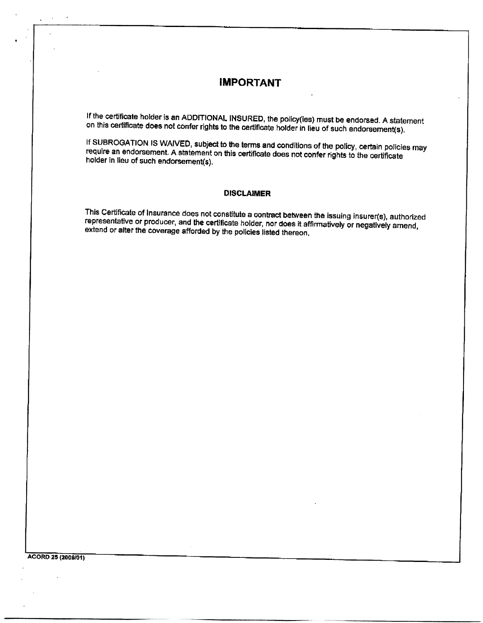# **IMPORTANT**

If the certificate holder is an ADDITIONAL INSURED, the policy(ies) must be endorsed. A statement on this certificate does not confer rights to the certificate holder in lieu of such endorsement(s).

If SUBROGATION IS WAIVED, subject to the terms and conditions of the policy, certain policies may require an endorsement. A statement on this certificate does not confer rights to the certificate holder in lieu of such endorsement(s).

### **DISCLAIMER**

This Certificate of Insurance does not constitute a contract between the issuing insurer(s), authorized representative or producer, and the certificate holder, nor does it affirmatively or negatively amend, extend or alter the coverage afforded by the policies listed thereon.

ACORD 25 (2009/01)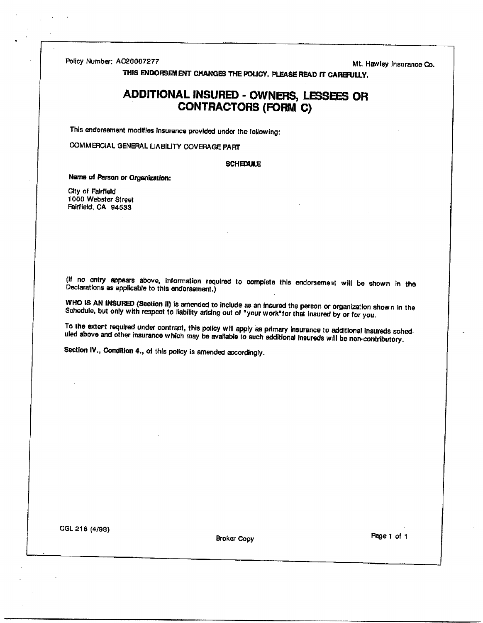Policy Number: AC20007277

Mt. Hawley Insurance Co.

THIS ENDORSEMENT CHANGES THE POLICY. PLEASE READ IT CAREFULLY.

# ADDITIONAL INSURED - OWNERS, LESSEES OR **CONTRACTORS (FORM C)**

This endorsement modifies insurance provided under the following:

COMMERCIAL GENERAL LIABILITY COVERAGE PART

### **SCHEDULE**

Name of Person or Organization:

City of Fairfield 1000 Webster Street Fairfield, CA 94533

(If no entry appears above, information required to complete this endorsement will be shown in the Declarations as applicable to this endorsement.)

WHO IS AN INSURED (Section II) is amended to include as an insured the person or organization shown in the Schedule, but only with respect to liability arising out of "your work" for that insured by or for you.

To the extent required under contract, this policy will apply as primary insurance to additional insureds scheduled above and other insurance which may be available to such additional insureds will be non-contributory.

Section IV., Condition 4., of this policy is amended accordingly.

CGL 216 (4/98)

**Broker Copy** 

Page 1 of 1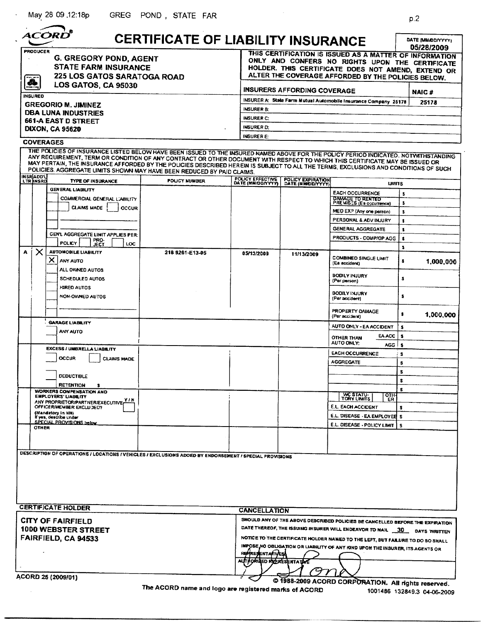**ACORD** 

| <i><b>ACORD</b></i>                                                           |                                                                  |              | CERTIFICATE OF LIABILITY INSURANCE                                                                                                                                                                                                                                                                                                                                                                                                                                                   |                                                                                                                                                                                                                                                                                                                                                  |                                                                                   |                                                                                                                                                                  | DATE (MM/DD/YYYY)    |  |
|-------------------------------------------------------------------------------|------------------------------------------------------------------|--------------|--------------------------------------------------------------------------------------------------------------------------------------------------------------------------------------------------------------------------------------------------------------------------------------------------------------------------------------------------------------------------------------------------------------------------------------------------------------------------------------|--------------------------------------------------------------------------------------------------------------------------------------------------------------------------------------------------------------------------------------------------------------------------------------------------------------------------------------------------|-----------------------------------------------------------------------------------|------------------------------------------------------------------------------------------------------------------------------------------------------------------|----------------------|--|
| <b>PRODUCER</b><br>---                                                        | <b>G. GREGORY POND, AGENT</b><br><b>STATE FARM INSURANCE</b>     |              |                                                                                                                                                                                                                                                                                                                                                                                                                                                                                      |                                                                                                                                                                                                                                                                                                                                                  |                                                                                   | THIS CERTIFICATION IS ISSUED AS A MATTER OF INFORMATION<br>ONLY AND CONFERS NO RIGHTS UPON THE CERTIFICATE<br>HOLDER. THIS CERTIFICATE DOES NOT AMEND, EXTEND OR | 05/28/2009           |  |
| 225 LOS GATOS SARATOGA ROAD<br>.∰<br>……<br>LOS GATOS, CA 95030                |                                                                  |              |                                                                                                                                                                                                                                                                                                                                                                                                                                                                                      | ALTER THE COVERAGE AFFORDED BY THE POLICIES BELOW.<br><b>INSURERS AFFORDING COVERAGE</b>                                                                                                                                                                                                                                                         |                                                                                   |                                                                                                                                                                  |                      |  |
| <b>INSURED</b>                                                                |                                                                  |              |                                                                                                                                                                                                                                                                                                                                                                                                                                                                                      |                                                                                                                                                                                                                                                                                                                                                  | NAIC#<br>INSURER A: State Farm Mutual Automobile Insurance Company 25178<br>25178 |                                                                                                                                                                  |                      |  |
|                                                                               | <b>GREGORIO M. JIMINEZ</b><br><b>DBA LUNA INDUSTRIES</b>         |              |                                                                                                                                                                                                                                                                                                                                                                                                                                                                                      | <b>INSURER B:</b>                                                                                                                                                                                                                                                                                                                                |                                                                                   |                                                                                                                                                                  |                      |  |
|                                                                               | <b>661-A EAST D STREET</b>                                       |              |                                                                                                                                                                                                                                                                                                                                                                                                                                                                                      | <b>INSURER C:</b>                                                                                                                                                                                                                                                                                                                                |                                                                                   |                                                                                                                                                                  |                      |  |
| <b>DIXON, CA 95620</b>                                                        |                                                                  |              | <b>INSURER D:</b><br><b>INSURER E:</b>                                                                                                                                                                                                                                                                                                                                                                                                                                               |                                                                                                                                                                                                                                                                                                                                                  |                                                                                   |                                                                                                                                                                  |                      |  |
| <b>COVERAGES</b>                                                              |                                                                  |              |                                                                                                                                                                                                                                                                                                                                                                                                                                                                                      |                                                                                                                                                                                                                                                                                                                                                  |                                                                                   |                                                                                                                                                                  |                      |  |
| <b>INSRADD'U</b>                                                              |                                                                  |              | THE POLICIES OF INSURANCE LISTED BELOW HAVE BEEN ISSUED TO THE INSURED NAMED ABOVE FOR THE POLICY PERIOD INDICATED. NOTWITHSTANDING<br>ANY REQUIREMENT, TERM OR CONDITION OF ANY CONTRACT OR OTHER DOCUMENT WITH RESPECT TO WHICH THIS CERTIFICATE MAY BE ISSUED OR<br>MAY PERTAIN, THE INSURANCE AFFORDED BY THE POLICIES DESCRIBED HEREIN IS SUBJECT TO ALL THE TERMS, EXCLUSIONS AND CONDITIONS OF SUCH<br>POLICIES. AGGREGATE LIMITS SHOWN MAY HAVE BEEN REDUCED BY PAID CLAIMS. |                                                                                                                                                                                                                                                                                                                                                  |                                                                                   |                                                                                                                                                                  |                      |  |
| <b>LTR INSRD</b>                                                              | <b>TYPE OF INSURANCE</b>                                         |              | <b>POUCY NUMBER</b>                                                                                                                                                                                                                                                                                                                                                                                                                                                                  | POLICY EFFECTIVE                                                                                                                                                                                                                                                                                                                                 | POLICY EXPIRATION                                                                 | <b>LIMITS</b>                                                                                                                                                    |                      |  |
|                                                                               | <b>GENERAL LIABILITY</b><br>COMMERCIAL GENERAL L'ABILITY         |              |                                                                                                                                                                                                                                                                                                                                                                                                                                                                                      |                                                                                                                                                                                                                                                                                                                                                  |                                                                                   | <b>EACH OCCURRENCE</b><br><b>DAMAGE TO RENTED</b>                                                                                                                | 5                    |  |
|                                                                               | CLAIMS MADE:                                                     | <b>OCCUR</b> |                                                                                                                                                                                                                                                                                                                                                                                                                                                                                      |                                                                                                                                                                                                                                                                                                                                                  |                                                                                   | PREMISES (Ea occurrence)<br>MED EX <sup>2</sup> (Any one person)                                                                                                 | 3                    |  |
|                                                                               |                                                                  |              |                                                                                                                                                                                                                                                                                                                                                                                                                                                                                      |                                                                                                                                                                                                                                                                                                                                                  |                                                                                   | PERSONAL & ADV INJURY                                                                                                                                            | s<br>\$              |  |
|                                                                               |                                                                  |              |                                                                                                                                                                                                                                                                                                                                                                                                                                                                                      |                                                                                                                                                                                                                                                                                                                                                  |                                                                                   | <b>GENERAL AGGREGATE</b>                                                                                                                                         | 5                    |  |
|                                                                               | GEN'L AGGREGATE LIMIT APPLIES PER:<br>PRO-<br><b>POLICY</b>      | LOC          |                                                                                                                                                                                                                                                                                                                                                                                                                                                                                      |                                                                                                                                                                                                                                                                                                                                                  |                                                                                   | PRODUCTS - COMP/OP AGG                                                                                                                                           | $\bullet$            |  |
| $\times$<br>A                                                                 | <b>JECT</b><br><b>AUTOMOBILE LIABILITY</b><br>X ANY AUTO         |              | 218 9261-E13-05                                                                                                                                                                                                                                                                                                                                                                                                                                                                      | 05/13/2009                                                                                                                                                                                                                                                                                                                                       | 11/13/2009                                                                        | <b>COMBINED SINGLE LIMIT</b><br>(Ea accident)                                                                                                                    | s.<br>4<br>1,000,000 |  |
|                                                                               | ALL OVANED AUTOS<br><b>SCHEDULED AUTOS</b><br><b>HIRED AUTOS</b> |              |                                                                                                                                                                                                                                                                                                                                                                                                                                                                                      |                                                                                                                                                                                                                                                                                                                                                  |                                                                                   | <b>BODILY INJURY</b><br>(Per person)                                                                                                                             | \$                   |  |
|                                                                               | NON-OWNED AUTOS                                                  |              |                                                                                                                                                                                                                                                                                                                                                                                                                                                                                      |                                                                                                                                                                                                                                                                                                                                                  |                                                                                   | <b>BODILY INJURY</b><br>(Per accident)                                                                                                                           | \$                   |  |
|                                                                               |                                                                  |              |                                                                                                                                                                                                                                                                                                                                                                                                                                                                                      |                                                                                                                                                                                                                                                                                                                                                  |                                                                                   | PROPERTY DAMAGE<br>(Per accident)                                                                                                                                | \$<br>1,000,000      |  |
|                                                                               | <b>GARAGE LIABILITY</b><br>ANY AUTO                              |              |                                                                                                                                                                                                                                                                                                                                                                                                                                                                                      |                                                                                                                                                                                                                                                                                                                                                  |                                                                                   | AUTO ONLY - EA ACCIDENT                                                                                                                                          | s                    |  |
|                                                                               |                                                                  |              |                                                                                                                                                                                                                                                                                                                                                                                                                                                                                      |                                                                                                                                                                                                                                                                                                                                                  |                                                                                   | EA ACC<br>OTHER THAN<br>AUTO ONLY:                                                                                                                               | s                    |  |
|                                                                               | <b>EXCESS / UMBRELLA LIABILITY</b>                               |              |                                                                                                                                                                                                                                                                                                                                                                                                                                                                                      |                                                                                                                                                                                                                                                                                                                                                  |                                                                                   | AGS.<br><b>EACH OCCURRENCE</b>                                                                                                                                   | $\bullet$<br>s       |  |
|                                                                               | OCCUR                                                            | CLAIMS MADE  |                                                                                                                                                                                                                                                                                                                                                                                                                                                                                      |                                                                                                                                                                                                                                                                                                                                                  |                                                                                   | <b>AGGREGATE</b>                                                                                                                                                 | s                    |  |
|                                                                               | <b>DEDUCTIBLE</b>                                                |              |                                                                                                                                                                                                                                                                                                                                                                                                                                                                                      |                                                                                                                                                                                                                                                                                                                                                  |                                                                                   |                                                                                                                                                                  | s                    |  |
|                                                                               | <b>RETENTION</b>                                                 |              |                                                                                                                                                                                                                                                                                                                                                                                                                                                                                      |                                                                                                                                                                                                                                                                                                                                                  |                                                                                   |                                                                                                                                                                  | s                    |  |
|                                                                               | <b>WORKERS COMPENSATION AND</b><br><b>EMPLOYERS' LIABE ITY</b>   |              |                                                                                                                                                                                                                                                                                                                                                                                                                                                                                      |                                                                                                                                                                                                                                                                                                                                                  |                                                                                   | WC STATU-<br>OTH-<br><b>TORY LIMITS</b><br>ER                                                                                                                    | s                    |  |
|                                                                               | ANY PROPRIETOR/PARTNER/EXECUTIVE<br>OFFICER/MEMBER EXCLUDED?     | Y I N        |                                                                                                                                                                                                                                                                                                                                                                                                                                                                                      |                                                                                                                                                                                                                                                                                                                                                  |                                                                                   | <b>E.L. EACH ACCIDENT</b>                                                                                                                                        | s                    |  |
|                                                                               | (Mandatory in NH)<br>If yes, describe under                      |              |                                                                                                                                                                                                                                                                                                                                                                                                                                                                                      |                                                                                                                                                                                                                                                                                                                                                  |                                                                                   | E.L. DISEASE - EA EMPLOYEE S                                                                                                                                     |                      |  |
| <b>OTHER</b>                                                                  | SPECIAL PROVISIONS below                                         |              |                                                                                                                                                                                                                                                                                                                                                                                                                                                                                      |                                                                                                                                                                                                                                                                                                                                                  |                                                                                   | E.L. DISEASE - POLICY LIMIT                                                                                                                                      | -S                   |  |
|                                                                               |                                                                  |              |                                                                                                                                                                                                                                                                                                                                                                                                                                                                                      |                                                                                                                                                                                                                                                                                                                                                  |                                                                                   |                                                                                                                                                                  |                      |  |
|                                                                               |                                                                  |              | DESCRIPTION OF OPERATIONS / LOCATIONS / VEHICLES / EXCLUSIONS ADDED BY ENDORSEMENT / SPECIAL PROVISIONS                                                                                                                                                                                                                                                                                                                                                                              |                                                                                                                                                                                                                                                                                                                                                  |                                                                                   |                                                                                                                                                                  |                      |  |
|                                                                               |                                                                  |              |                                                                                                                                                                                                                                                                                                                                                                                                                                                                                      |                                                                                                                                                                                                                                                                                                                                                  |                                                                                   |                                                                                                                                                                  |                      |  |
|                                                                               | <b>CERTIFICATE HOLDER</b>                                        |              |                                                                                                                                                                                                                                                                                                                                                                                                                                                                                      | <b>CANCELLATION</b>                                                                                                                                                                                                                                                                                                                              |                                                                                   |                                                                                                                                                                  |                      |  |
| <b>CITY OF FAIRFIELD</b><br><b>1000 WEBSTER STREET</b><br>FAIRFIELD, CA 94533 |                                                                  |              |                                                                                                                                                                                                                                                                                                                                                                                                                                                                                      | SHOULD ANY OF THE ABOVE DESCRIBED POLICIES BE CANCELLED BEFORE THE EXPIRATION<br>DATE THEREOF, THE ISSUING INSURER WILL ENDEAVOR TO MAIL 30 DAYS IVRITTEN<br>NOTICE TO THE CERTIFICATE HOLDER NAMED TO THE LEFT, BUT FAILURE TO DO SO SHALL<br>IMPOSE NO OBLIGATION OR LIABILITY OF ANY KIND UPON THE INSURER, ITS AGENTS OR<br>REFRESENTAFIYES! |                                                                                   |                                                                                                                                                                  |                      |  |
|                                                                               |                                                                  |              |                                                                                                                                                                                                                                                                                                                                                                                                                                                                                      |                                                                                                                                                                                                                                                                                                                                                  | AUT HORIAED REERESENTATAE                                                         |                                                                                                                                                                  |                      |  |
| ACORD 25 (2009/01)                                                            |                                                                  |              | © 1988-2009 ACORD CORPORATION. All rights reserved                                                                                                                                                                                                                                                                                                                                                                                                                                   |                                                                                                                                                                                                                                                                                                                                                  |                                                                                   |                                                                                                                                                                  |                      |  |

The ACORD name and logo are registered marks of ACORD

ORATION. All rights reserved. 1001486 132849.3 04-06-2009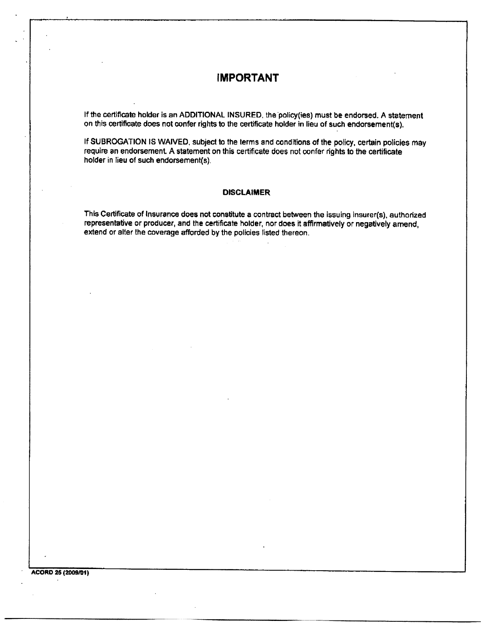# IMPORTANT

If the certificate holder is an ADDITIONAL INSURED, the policy(ies) must be endorsed. A statement<br>on this certificate does not confer rights to the certificate holder in lieu of such endorsement(s),

If SUBROGATION IS WAIVED, subject to the terms and conditions of the policy, certain policies may If the certificate holder is an ADDITIONAL INSURED, the policy(ies) must be endorsed. A statement and this certificate does not confer rights to the certificate holder in lieu of such endorsement(s).<br>If SUBROGATION IS WAIV on this certificate does not confer rights to the certificate holder in lieu of such endorsement(s).<br>If SUBROGATION IS WAIVED, subject to the terms and conditions of the policy, certain policie<br>require an endorsement. A st

### **DISCLAIMER**

This Certificate of Insurance does not constitute a contract between the issuing insurer(s), authorized representative or producer, and the certificate holder, nor does it affirmatively or negatively amend, extend or alter the coverage afforded by the policies listed thereon.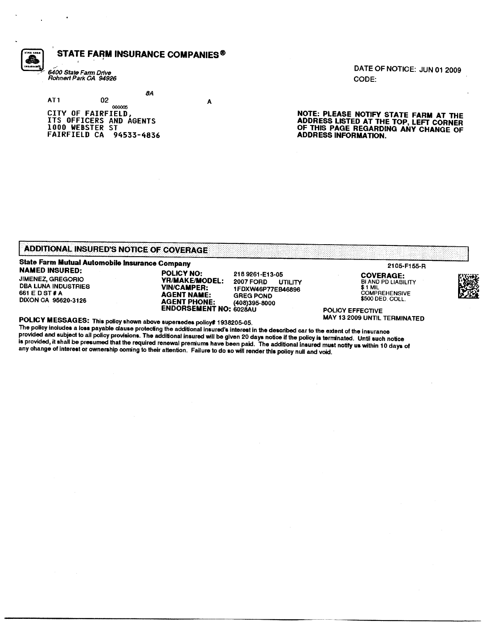

# STATE FARM INSURANCE COMPANIES®

6400 State Farm Drive<br>Rohnert Park CA 94926

8A AT<sub>1</sub> 02 000005 CITY OF FAIRFIELD, ITS OFFICERS AND AGENTS 1000 WEBSTER ST **FAIRFIELD CA** 94533-4836 DATE OF NOTICE: JUN 01 2009 CODE:

NOTE: PLEASE NOTIFY STATE FARM AT THE ADDRESS LISTED AT THE TOP, LEFT CORNER OF THIS PAGE REGARDING ANY CHANGE OF **ADDRESS INFORMATION.** 

### **ADDITIONAL INSURED'S NOTICE OF COVERAGE**

# State Farm Mutual Automobile Insurance Company

**NAMED INSURED: JIMENEZ, GREGORIO DBA LUNA INDUSTRIES** 661 E D.ST # A DIXON CA 95620-3126

POLICY NO: **YR/MAKE/MODEL: VIN/CAMPER: AGENT NAME: AGENT PHONE: ENDORSEMENT NO: 6028AU** 

Α

218 9261-E13-05 2007 FORD UTILITY 1FDXW46P77EB46896 **GREG POND** (408)395-8000

2105-F155-R

**COVERAGE:** BI AND PD LIABILITY  $$1$  MIL **COMPREHENSIVE** \$500 DED. COLL.

**POLICY EFFECTIVE** MAY 13 2009 UNTIL TERMINATED

POLICY MESSAGES: This policy shown above supersedes policy# 1938205-05.

The policy includes a loss payable clause protecting the additional insured's interest in the described car to the extent of the insurance provided and subject to all policy provisions. The additional insured will be given 20 days notice if the policy is terminated. Until such notice is provided, it shall be presumed that the required renewal premiums have been paid. The additional insured must notify us within 10 days of any change of interest or ownership coming to their attention. Failure to do so will render this policy null and void.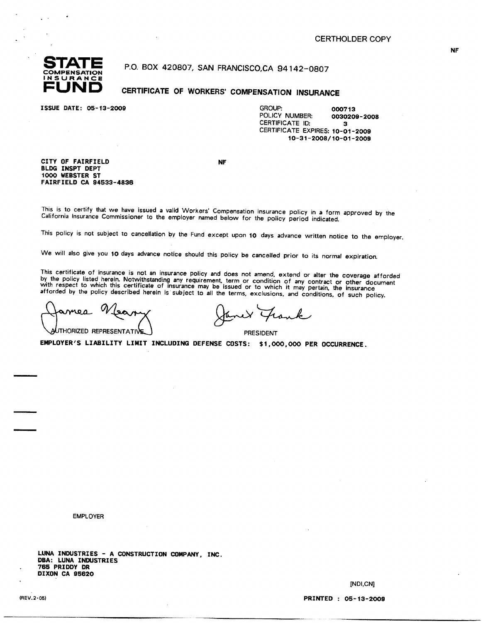

# P.O. BOX 420807, SAN FRANCISCO,CA 94142-0807

CERTIFICATE OF WORKERS' COMPENSATION INSURANCE

ISSUE DATE: 05-13-2009<br>POLICY NUMBER: 0030209-2008<br>POLICY NUMBER: 0030209-2008 POLICY NUMBER: 00309<br>CERTIFICATE ID: 3 CERTIFICATE ID: CERTIFICATE ID:<br>CERTIFICATE EXPIRES: 10-01-2009 |UMBER: 0030209-2008<br>ATE ID: 3<br>ATE EXPIRES: 10-01-2009<br>10-31-2008/10-01-2009

CITY OF FAIRFIELD NF BLDG INSPT DEPT 1000 WEBSTER ST FAIRFIELD CA 94533-4836

This is to certify that we have issued <sup>a</sup> valid Workers' Compensation insurance policy in <sup>a</sup> form approved by the California lnsurance Commissioner to the employer named beiow for the policy period indicated.

This policy is not subject to cancellation by the Fund except upon <sup>10</sup> days advance written notice to the employer.

We will also give you <sup>10</sup> days advance notice should this policy be cancelled prior to its normal expiration.

This certificate of insurance is not an insurance policy and does not amend, extend or aiter the coverage aftorded by the policy listed herein. Notwithstanding any requirement, term or condition of any contract or other documen<br>with respect to which this certificate of insurance may be issued or to which it may pertain, the insurance<br>a

G mes

 $\mathcal{C}^{\!-}$ 

THORIZED REPRESENTATIVE THORIZED PRESIDENT

EMPLOYER'S LIABILITY LIMIT INCLUDING DEFENSE COSTS: \$1,000,000 PER OCCURRENCE.

EMPLOYER

LUNA INDUSTRIES - A CONSTRUCTION COMPANY, INC. DBA: LUNA INDUSTRIES 765 PRIDDY DR DIXON CA 95620

איט,וטאן<br>PRINTED : 05-13-2009<br>PRINTED : 05-13-2009